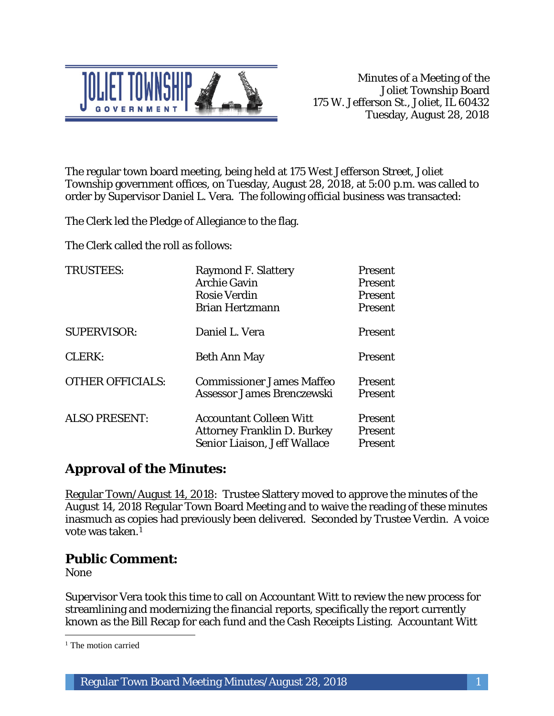

The regular town board meeting, being held at 175 West Jefferson Street, Joliet Township government offices, on Tuesday, August 28, 2018, at 5:00 p.m. was called to order by Supervisor Daniel L. Vera. The following official business was transacted:

The Clerk led the Pledge of Allegiance to the flag.

The Clerk called the roll as follows:

| <b>TRUSTEES:</b>        | <b>Raymond F. Slattery</b><br><b>Archie Gavin</b><br><b>Rosie Verdin</b><br><b>Brian Hertzmann</b>   | Present<br><b>Present</b><br>Present<br>Present |
|-------------------------|------------------------------------------------------------------------------------------------------|-------------------------------------------------|
| <b>SUPERVISOR:</b>      | Daniel L. Vera                                                                                       | Present                                         |
| CLERK:                  | <b>Beth Ann May</b>                                                                                  | Present                                         |
| <b>OTHER OFFICIALS:</b> | <b>Commissioner James Maffeo</b><br>Assessor James Brenczewski                                       | <b>Present</b><br>Present                       |
| <b>ALSO PRESENT:</b>    | <b>Accountant Colleen Witt</b><br><b>Attorney Franklin D. Burkey</b><br>Senior Liaison, Jeff Wallace | <b>Present</b><br>Present<br>Present            |

# **Approval of the Minutes:**

Regular Town/August 14, 2018: Trustee Slattery moved to approve the minutes of the August 14, 2018 Regular Town Board Meeting and to waive the reading of these minutes inasmuch as copies had previously been delivered. Seconded by Trustee Verdin. A voice vote was taken.1

## **Public Comment:**

None

 $\overline{a}$ 

Supervisor Vera took this time to call on Accountant Witt to review the new process for streamlining and modernizing the financial reports, specifically the report currently known as the Bill Recap for each fund and the Cash Receipts Listing. Accountant Witt

<sup>&</sup>lt;sup>1</sup> The motion carried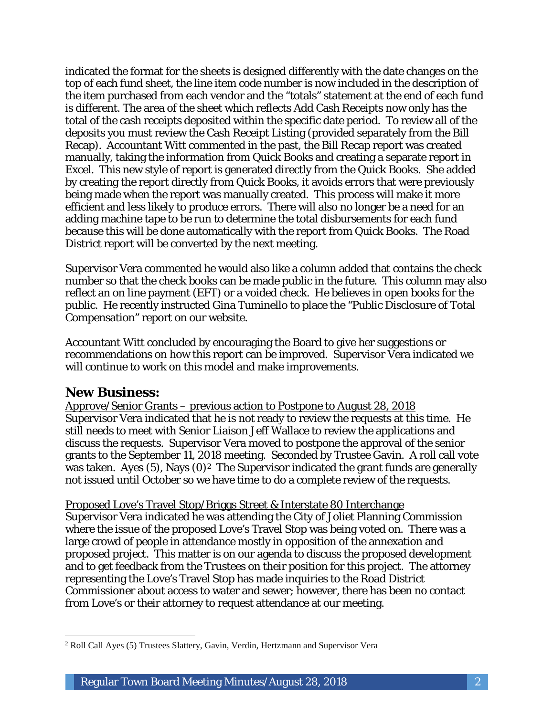indicated the format for the sheets is designed differently with the date changes on the top of each fund sheet, the line item code number is now included in the description of the item purchased from each vendor and the "totals" statement at the end of each fund is different. The area of the sheet which reflects Add Cash Receipts now only has the total of the cash receipts deposited within the specific date period. To review all of the deposits you must review the Cash Receipt Listing (provided separately from the Bill Recap). Accountant Witt commented in the past, the Bill Recap report was created manually, taking the information from Quick Books and creating a separate report in Excel. This new style of report is generated directly from the Quick Books. She added by creating the report directly from Quick Books, it avoids errors that were previously being made when the report was manually created. This process will make it more efficient and less likely to produce errors. There will also no longer be a need for an adding machine tape to be run to determine the total disbursements for each fund because this will be done automatically with the report from Quick Books. The Road District report will be converted by the next meeting.

Supervisor Vera commented he would also like a column added that contains the check number so that the check books can be made public in the future. This column may also reflect an on line payment (EFT) or a voided check. He believes in open books for the public. He recently instructed Gina Tuminello to place the "Public Disclosure of Total Compensation" report on our website.

Accountant Witt concluded by encouraging the Board to give her suggestions or recommendations on how this report can be improved. Supervisor Vera indicated we will continue to work on this model and make improvements.

### **New Business:**

Approve/Senior Grants – previous action to Postpone to August 28, 2018 Supervisor Vera indicated that he is not ready to review the requests at this time. He still needs to meet with Senior Liaison Jeff Wallace to review the applications and discuss the requests. Supervisor Vera moved to postpone the approval of the senior grants to the September 11, 2018 meeting. Seconded by Trustee Gavin. A roll call vote was taken. Ayes  $(5)$ , Nays  $(0)^2$  The Supervisor indicated the grant funds are generally not issued until October so we have time to do a complete review of the requests.

#### Proposed Love's Travel Stop/Briggs Street & Interstate 80 Interchange

Supervisor Vera indicated he was attending the City of Joliet Planning Commission where the issue of the proposed Love's Travel Stop was being voted on. There was a large crowd of people in attendance mostly in opposition of the annexation and proposed project. This matter is on our agenda to discuss the proposed development and to get feedback from the Trustees on their position for this project. The attorney representing the Love's Travel Stop has made inquiries to the Road District Commissioner about access to water and sewer; however, there has been no contact from Love's or their attorney to request attendance at our meeting.

 $\overline{a}$ <sup>2</sup> Roll Call Ayes (5) Trustees Slattery, Gavin, Verdin, Hertzmann and Supervisor Vera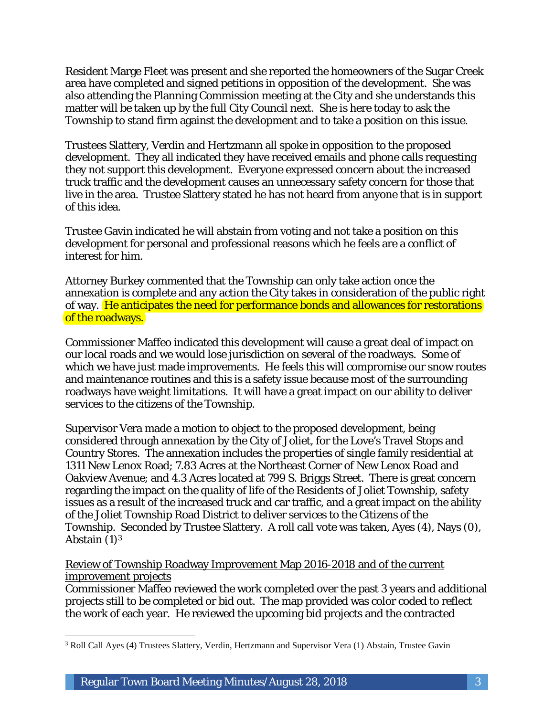Resident Marge Fleet was present and she reported the homeowners of the Sugar Creek area have completed and signed petitions in opposition of the development. She was also attending the Planning Commission meeting at the City and she understands this matter will be taken up by the full City Council next. She is here today to ask the Township to stand firm against the development and to take a position on this issue.

Trustees Slattery, Verdin and Hertzmann all spoke in opposition to the proposed development. They all indicated they have received emails and phone calls requesting they not support this development. Everyone expressed concern about the increased truck traffic and the development causes an unnecessary safety concern for those that live in the area. Trustee Slattery stated he has not heard from anyone that is in support of this idea.

Trustee Gavin indicated he will abstain from voting and not take a position on this development for personal and professional reasons which he feels are a conflict of interest for him.

Attorney Burkey commented that the Township can only take action once the annexation is complete and any action the City takes in consideration of the public right of way. He anticipates the need for performance bonds and allowances for restorations of the roadways.

Commissioner Maffeo indicated this development will cause a great deal of impact on our local roads and we would lose jurisdiction on several of the roadways. Some of which we have just made improvements. He feels this will compromise our snow routes and maintenance routines and this is a safety issue because most of the surrounding roadways have weight limitations. It will have a great impact on our ability to deliver services to the citizens of the Township.

Supervisor Vera made a motion to object to the proposed development, being considered through annexation by the City of Joliet, for the Love's Travel Stops and Country Stores. The annexation includes the properties of single family residential at 1311 New Lenox Road; 7.83 Acres at the Northeast Corner of New Lenox Road and Oakview Avenue; and 4.3 Acres located at 799 S. Briggs Street. There is great concern regarding the impact on the quality of life of the Residents of Joliet Township, safety issues as a result of the increased truck and car traffic, and a great impact on the ability of the Joliet Township Road District to deliver services to the Citizens of the Township. Seconded by Trustee Slattery. A roll call vote was taken, Ayes (4), Nays (0), Abstain  $(1)^3$ 

Review of Township Roadway Improvement Map 2016-2018 and of the current improvement projects

Commissioner Maffeo reviewed the work completed over the past 3 years and additional projects still to be completed or bid out. The map provided was color coded to reflect the work of each year. He reviewed the upcoming bid projects and the contracted

 $\overline{a}$ <sup>3</sup> Roll Call Ayes (4) Trustees Slattery, Verdin, Hertzmann and Supervisor Vera (1) Abstain, Trustee Gavin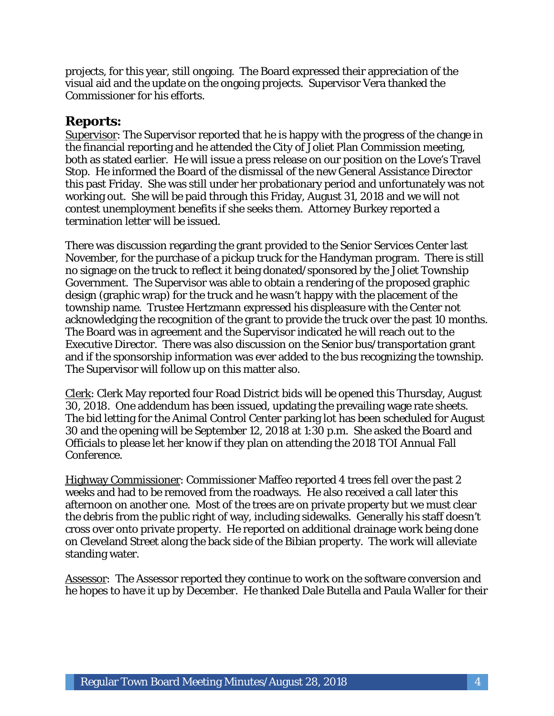projects, for this year, still ongoing. The Board expressed their appreciation of the visual aid and the update on the ongoing projects. Supervisor Vera thanked the Commissioner for his efforts.

### **Reports:**

Supervisor: The Supervisor reported that he is happy with the progress of the change in the financial reporting and he attended the City of Joliet Plan Commission meeting, both as stated earlier. He will issue a press release on our position on the Love's Travel Stop. He informed the Board of the dismissal of the new General Assistance Director this past Friday. She was still under her probationary period and unfortunately was not working out. She will be paid through this Friday, August 31, 2018 and we will not contest unemployment benefits if she seeks them. Attorney Burkey reported a termination letter will be issued.

There was discussion regarding the grant provided to the Senior Services Center last November, for the purchase of a pickup truck for the Handyman program. There is still no signage on the truck to reflect it being donated/sponsored by the Joliet Township Government. The Supervisor was able to obtain a rendering of the proposed graphic design (graphic wrap) for the truck and he wasn't happy with the placement of the township name. Trustee Hertzmann expressed his displeasure with the Center not acknowledging the recognition of the grant to provide the truck over the past 10 months. The Board was in agreement and the Supervisor indicated he will reach out to the Executive Director. There was also discussion on the Senior bus/transportation grant and if the sponsorship information was ever added to the bus recognizing the township. The Supervisor will follow up on this matter also.

Clerk: Clerk May reported four Road District bids will be opened this Thursday, August 30, 2018. One addendum has been issued, updating the prevailing wage rate sheets. The bid letting for the Animal Control Center parking lot has been scheduled for August 30 and the opening will be September 12, 2018 at 1:30 p.m. She asked the Board and Officials to please let her know if they plan on attending the 2018 TOI Annual Fall Conference.

Highway Commissioner: Commissioner Maffeo reported 4 trees fell over the past 2 weeks and had to be removed from the roadways. He also received a call later this afternoon on another one. Most of the trees are on private property but we must clear the debris from the public right of way, including sidewalks. Generally his staff doesn't cross over onto private property. He reported on additional drainage work being done on Cleveland Street along the back side of the Bibian property. The work will alleviate standing water.

Assessor: The Assessor reported they continue to work on the software conversion and he hopes to have it up by December. He thanked Dale Butella and Paula Waller for their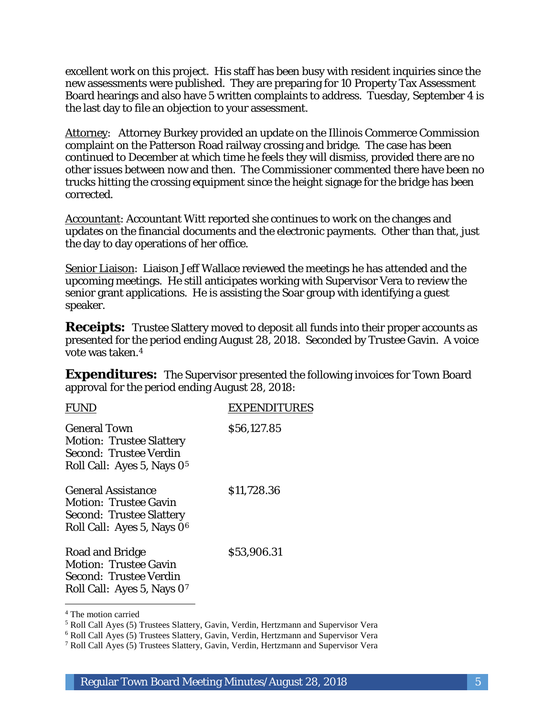excellent work on this project. His staff has been busy with resident inquiries since the new assessments were published. They are preparing for 10 Property Tax Assessment Board hearings and also have 5 written complaints to address. Tuesday, September 4 is the last day to file an objection to your assessment.

Attorney: Attorney Burkey provided an update on the Illinois Commerce Commission complaint on the Patterson Road railway crossing and bridge. The case has been continued to December at which time he feels they will dismiss, provided there are no other issues between now and then. The Commissioner commented there have been no trucks hitting the crossing equipment since the height signage for the bridge has been corrected.

Accountant: Accountant Witt reported she continues to work on the changes and updates on the financial documents and the electronic payments. Other than that, just the day to day operations of her office.

Senior Liaison: Liaison Jeff Wallace reviewed the meetings he has attended and the upcoming meetings. He still anticipates working with Supervisor Vera to review the senior grant applications. He is assisting the Soar group with identifying a guest speaker.

**Receipts:** Trustee Slattery moved to deposit all funds into their proper accounts as presented for the period ending August 28, 2018. Seconded by Trustee Gavin. A voice vote was taken.4

**Expenditures:** The Supervisor presented the following invoices for Town Board approval for the period ending August 28, 2018:

| FUI                                                                                                                                    | <b>EXPENDITURES</b> |
|----------------------------------------------------------------------------------------------------------------------------------------|---------------------|
| <b>General Town</b><br><b>Motion: Trustee Slattery</b><br>Second: Trustee Verdin<br>Roll Call: Ayes 5, Nays 0 <sup>5</sup>             | \$56,127.85         |
| <b>General Assistance</b><br><b>Motion: Trustee Gavin</b><br><b>Second: Trustee Slattery</b><br>Roll Call: Ayes 5, Nays 0 <sup>6</sup> | \$11,728.36         |
| Road and Bridge<br><b>Motion: Trustee Gavin</b><br>Second: Trustee Verdin<br>Roll Call: Ayes 5, Nays 07                                | \$53,906.31         |

<sup>4</sup> The motion carried

<sup>5</sup> Roll Call Ayes (5) Trustees Slattery, Gavin, Verdin, Hertzmann and Supervisor Vera

<sup>6</sup> Roll Call Ayes (5) Trustees Slattery, Gavin, Verdin, Hertzmann and Supervisor Vera

<sup>7</sup> Roll Call Ayes (5) Trustees Slattery, Gavin, Verdin, Hertzmann and Supervisor Vera